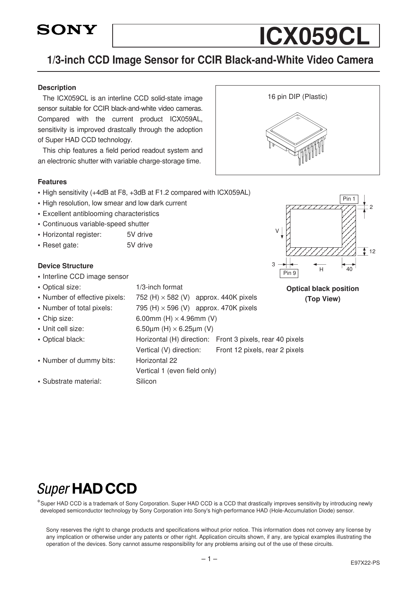

# 1/3-inch CCD Image Sensor for CCIR Black-and-White Video Camera

#### Description

The ICX059CL is an interline CCD solid-state image sensor suitable for CCIR black-and-white video cameras. Compared with the current product ICX059AL, sensitivity is improved drastcally through the adoption of Super HAD CCD technology.

This chip features a field period readout system and an electronic shutter with variable charge-storage time.

#### Features

- High sensitivity (+4dB at F8, +3dB at F1.2 compared with ICX059AL)
- High resolution, low smear and low dark current
- Excellent antiblooming characteristics
- Continuous variable-speed shutter
- Horizontal register: 5V drive
- Reset gate: 5V drive

#### Device Structure

- Interline CCD image sensor
- Optical size: 1/3-inch format
- Number of effective pixels:  $752$  (H)  $\times$  582 (V) approx. 440K pixels
- Number of total pixels:  $795(H) \times 596(V)$  approx. 470K pixels
- 
- 
- 
- Number of dummy bits: Horizontal 22
- Chip size:  $6.00$ mm (H)  $\times$  4.96mm (V) • Unit cell size:  $6.50\mu m$  (H)  $\times$  6.25 $\mu m$  (V) • Optical black: Horizontal (H) direction: Front 3 pixels, rear 40 pixels Vertical (V) direction: Front 12 pixels, rear 2 pixels Vertical 1 (even field only) • Substrate material: Silicon



ICX059CL



Optical black position (Top View)

# **Super HAD CCD**

∗Super HAD CCD is a trademark of Sony Corporation. Super HAD CCD is a CCD that drastically improves sensitivity by introducing newly developed semiconductor technology by Sony Corporation into Sony's high-performance HAD (Hole-Accumulation Diode) sensor.

Sony reserves the right to change products and specifications without prior notice. This information does not convey any license by any implication or otherwise under any patents or other right. Application circuits shown, if any, are typical examples illustrating the operation of the devices. Sony cannot assume responsibility for any problems arising out of the use of these circuits.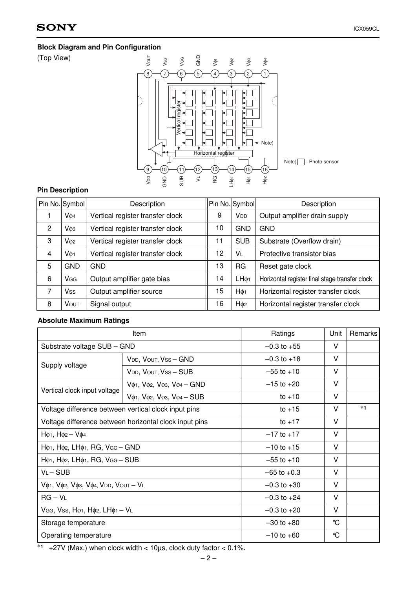# Block Diagram and Pin Configuration

(Top View)



#### Pin Description

|                | Pin No. Symbol        | Description                      | Pin No. Symbol |                        | Description                                    |
|----------------|-----------------------|----------------------------------|----------------|------------------------|------------------------------------------------|
|                | Vø <sub>4</sub>       | Vertical register transfer clock | 9              | <b>V</b> <sub>DD</sub> | Output amplifier drain supply                  |
| 2              | Vф <sub>3</sub>       | Vertical register transfer clock | 10             | <b>GND</b>             | <b>GND</b>                                     |
| 3              | V¢2                   | Vertical register transfer clock | 11             | <b>SUB</b>             | Substrate (Overflow drain)                     |
| $\overline{4}$ | Vø1                   | Vertical register transfer clock | 12             | <b>VL</b>              | Protective transistor bias                     |
| 5              | <b>GND</b>            | <b>GND</b>                       | 13             | <b>RG</b>              | Reset gate clock                               |
| 6              | <b>V<sub>GG</sub></b> | Output amplifier gate bias       | 14             | LH <sub>01</sub>       | Horizontal register final stage transfer clock |
| 7              | <b>Vss</b>            | Output amplifier source          | 15             | $H\phi_1$              | Horizontal register transfer clock             |
| 8              | <b>VOUT</b>           | Signal output                    | 16             | H <sub>¢2</sub>        | Horizontal register transfer clock             |

#### Absolute Maximum Ratings

|                                                                                                   | Item                                                                                                                              | Ratings         | Unit         | Remarks |
|---------------------------------------------------------------------------------------------------|-----------------------------------------------------------------------------------------------------------------------------------|-----------------|--------------|---------|
| Substrate voltage SUB - GND                                                                       |                                                                                                                                   | $-0.3$ to $+55$ | v            |         |
|                                                                                                   | VDD, VOUT, VSS - GND                                                                                                              | $-0.3$ to $+18$ | V            |         |
| Supply voltage                                                                                    | VDD, VOUT, VSS-SUB                                                                                                                | $-55$ to $+10$  | v            |         |
|                                                                                                   | Vφ1, Vφ2, Vφ3, Vφ4 - GND                                                                                                          | $-15$ to $+20$  | V            |         |
| Vertical clock input voltage                                                                      | V <sub><math>\phi</math>1</sub> , V <sub><math>\phi</math>2</sub> , V <sub><math>\phi</math>3</sub> , V $\phi$ <sub>4</sub> - SUB | to $+10$        | V            |         |
| Voltage difference between vertical clock input pins                                              |                                                                                                                                   | to $+15$        | V            | $*1$    |
|                                                                                                   | Voltage difference between horizontal clock input pins                                                                            | to $+17$        | v            |         |
| $H\phi_1$ , $H\phi_2 - V\phi_4$                                                                   |                                                                                                                                   | $-17$ to $+17$  | v            |         |
| $H\phi$ <sub>1</sub> , $H\phi$ <sub>2</sub> , $LH\phi$ <sub>1</sub> , RG, $V$ <sub>GG</sub> - GND |                                                                                                                                   | $-10$ to $+15$  | V            |         |
| $H\phi_1$ , $H\phi_2$ , $LH\phi_1$ , RG, $VGG - SUB$                                              |                                                                                                                                   | $-55$ to $+10$  | V            |         |
| $V_L - SUB$                                                                                       |                                                                                                                                   | $-65$ to $+0.3$ | v            |         |
| V \$1, V \$2, V \$3, V \$4, V D D, V OUT - V L                                                    |                                                                                                                                   | $-0.3$ to $+30$ | V            |         |
| $RG - V_L$                                                                                        | $-0.3$ to $+24$                                                                                                                   | V               |              |         |
| VGG, Vss, $H\phi_1$ , $H\phi_2$ , $LH\phi_1 - V_L$                                                |                                                                                                                                   | $-0.3$ to $+20$ | V            |         |
| Storage temperature                                                                               |                                                                                                                                   | $-30$ to $+80$  | °C           |         |
| Operating temperature                                                                             |                                                                                                                                   | $-10$ to $+60$  | $\mathrm{C}$ |         |

 $*1$  +27V (Max.) when clock width < 10µs, clock duty factor < 0.1%.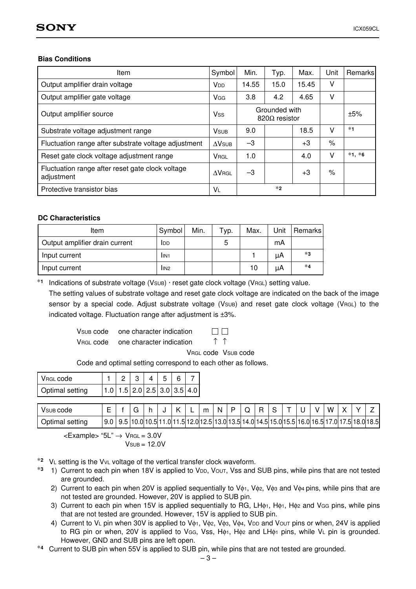#### Bias Conditions

| ltem                                                           | Symbol                    | Min.  | Typ.                                  | Max.  | Unit   | <b>Remarks</b> |
|----------------------------------------------------------------|---------------------------|-------|---------------------------------------|-------|--------|----------------|
| Output amplifier drain voltage                                 | <b>V<sub>DD</sub></b>     | 14.55 | 15.0                                  | 15.45 | v      |                |
| Output amplifier gate voltage                                  | <b>V<sub>GG</sub></b>     | 3.8   | 4.2                                   | 4.65  | v      |                |
| Output amplifier source                                        | Vss                       |       | Grounded with<br>$820\Omega$ resistor |       |        | ±5%            |
| Substrate voltage adjustment range                             | <b>V</b> <sub>SUB</sub>   | 9.0   |                                       | 18.5  | v      | $*1$           |
| Fluctuation range after substrate voltage adjustment           | $\Delta$ V <sub>SUB</sub> | $-3$  |                                       | $+3$  | $\%$   |                |
| Reset gate clock voltage adjustment range                      | <b>VRGL</b>               | 1.0   |                                       | 4.0   | $\vee$ | $*1, *6$       |
| Fluctuation range after reset gate clock voltage<br>adjustment | $\Delta V$ RGL            | $-3$  |                                       | $+3$  | $\%$   |                |
| Protective transistor bias                                     | VL                        |       | $*2$                                  |       |        |                |

#### DC Characteristics

| Item                           | Symbol           | Min. | ⊤ур. | Max. | Unit | <b>Remarks</b> |
|--------------------------------|------------------|------|------|------|------|----------------|
| Output amplifier drain current | IDD              |      | 5    |      | mA   |                |
| Input current                  | IIN1             |      |      |      | μA   | *3             |
| Input current                  | lin <sub>2</sub> |      |      | 10   | μA   | $*4$           |

∗<sup>1</sup> Indications of substrate voltage (VSUB) · reset gate clock voltage (VRGL) setting value.

The setting values of substrate voltage and reset gate clock voltage are indicated on the back of the image sensor by a special code. Adjust substrate voltage (V<sub>SUB</sub>) and reset gate clock voltage (V<sub>RGL</sub>) to the indicated voltage. Fluctuation range after adjustment is ±3%.

V<sub>SUB</sub> code one character indication

V<sub>RGL</sub> code one character indication ↑ ↑

 $\Box$  $\Box$ 

VRGL code VSUB code

Code and optimal setting correspond to each other as follows.

| l Vrgu code     |  |  |  |                                             |
|-----------------|--|--|--|---------------------------------------------|
| Optimal setting |  |  |  | $1.0$   $1.5$   2.0   2.5   3.0   3.5   4.0 |

| VSUB CODE       |                               |  |      | - | m | -Ni |  |                                                           |  |  | W   |               |               |
|-----------------|-------------------------------|--|------|---|---|-----|--|-----------------------------------------------------------|--|--|-----|---------------|---------------|
| Optimal setting | 9.0   9.5   10.0   10.5   11. |  | .011 |   |   |     |  | 1.5 12.0 12.5 13.0 13.5 14.0 14.5 15.0 15.5 16.0 16.5 17. |  |  | .01 | $\rightarrow$ | 7.5 18.0 18.5 |

 $\epsilon$ Example> "5L"  $\rightarrow$  VRGL = 3.0V  $V$ SUB = 12.0 $V$ 

- <sup>\*2</sup> V∟ setting is the Vv∟ voltage of the vertical transfer clock waveform.<br><sup>\*3</sup> 1) Current to each pin when 18V is applied to V<sub>DD</sub>, Vo∪τ, Vss and SUB pins, while pins that are not tested are grounded.
	- 2) Current to each pin when 20V is applied sequentially to  $V_{\phi1}$ ,  $V_{\phi2}$ ,  $V_{\phi3}$  and  $V_{\phi4}$  pins, while pins that are not tested are grounded. However, 20V is applied to SUB pin.
	- 3) Current to each pin when 15V is applied sequentially to RG, LH $\phi_1$ , H $\phi_1$ , H $\phi_2$  and V<sub>GG</sub> pins, while pins that are not tested are grounded. However, 15V is applied to SUB pin.
	- 4) Current to V<sub>L</sub> pin when 30V is applied to Vφ1, Vφ2, Vφ3, Vφ4, VDD and VoUT pins or when, 24V is applied to RG pin or when, 20V is applied to VGG, Vss, Hφ1, Hφ<sup>2</sup> and LHφ<sup>1</sup> pins, while VL pin is grounded.
- However, GND and SUB pins are left open. <sup>∗</sup><sup>4</sup> Current to SUB pin when 55V is applied to SUB pin, while pins that are not tested are grounded.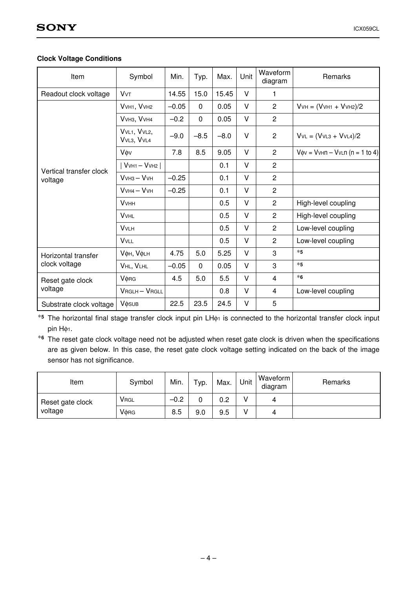### Clock Voltage Conditions

| Item                               | Symbol                         | Min.    | Typ.         | Max.   | Unit   | Waveform<br>diagram | Remarks                              |
|------------------------------------|--------------------------------|---------|--------------|--------|--------|---------------------|--------------------------------------|
| Readout clock voltage              | <b>V<sub>V</sub>T</b>          | 14.55   | 15.0         | 15.45  | V      | 1.                  |                                      |
|                                    | VVH1, VVH2                     | $-0.05$ | $\mathbf{0}$ | 0.05   | V      | $\overline{c}$      | $VvH = (VvH1 + VvH2)/2$              |
|                                    | VVH3, VVH4                     | $-0.2$  | $\mathbf 0$  | 0.05   | V      | $\overline{c}$      |                                      |
|                                    | VVL1, VVL2,<br>VVL3, VVL4      | $-9.0$  | $-8.5$       | $-8.0$ | V      | $\overline{2}$      | $VvL = (VvL3 + VvL4)/2$              |
|                                    | Vøv                            | 7.8     | 8.5          | 9.05   | V      | $\overline{2}$      | $V\phi v = VvHn - VvLn (n = 1 to 4)$ |
|                                    | $ VvH1 - VvH2 $                |         |              | 0.1    | V      | $\overline{2}$      |                                      |
| Vertical transfer clock<br>voltage | $VvH3 - VvH$                   | $-0.25$ |              | 0.1    | V      | $\overline{2}$      |                                      |
|                                    | $VvH4-VvH$                     | $-0.25$ |              | 0.1    | V      | $\overline{2}$      |                                      |
|                                    | <b>V</b> <sub>VHH</sub>        |         |              | 0.5    | V      | $\overline{2}$      | High-level coupling                  |
|                                    | <b>VVHL</b>                    |         |              | 0.5    | V      | $\overline{c}$      | High-level coupling                  |
|                                    | <b>V</b> <sub>VLH</sub>        |         |              | 0.5    | V      | $\overline{c}$      | Low-level coupling                   |
|                                    | <b>VVLL</b>                    |         |              | 0.5    | V      | $\overline{c}$      | Low-level coupling                   |
| Horizontal transfer                | <b>VOH, VOLH</b>               | 4.75    | 5.0          | 5.25   | V      | 3                   | $*5$                                 |
| clock voltage                      | VHL, VLHL                      | $-0.05$ | $\Omega$     | 0.05   | V      | 3                   | $*5$                                 |
| Reset gate clock                   | VORG                           | 4.5     | 5.0          | 5.5    | V      | $\overline{4}$      | $*6$                                 |
| voltage                            | VRGLH-VRGLL                    |         |              | 0.8    | V      | 4                   | Low-level coupling                   |
| Substrate clock voltage            | <b>V</b> $\phi$ <sub>SUB</sub> | 22.5    | 23.5         | 24.5   | $\vee$ | 5                   |                                      |

∗<sup>5</sup> The horizontal final stage transfer clock input pin LHφ<sup>1</sup> is connected to the horizontal transfer clock input pin Hφ1.

∗<sup>6</sup> The reset gate clock voltage need not be adjusted when reset gate clock is driven when the specifications are as given below. In this case, the reset gate clock voltage setting indicated on the back of the image sensor has not significance.

| Item             | Symbol                  | Min.   | Typ. | Max. | Unit | Waveform<br>diagram | Remarks |
|------------------|-------------------------|--------|------|------|------|---------------------|---------|
| Reset gate clock | <b>V</b> <sub>RGL</sub> | $-0.2$ |      | 0.2  |      | 4                   |         |
| voltage          | VORG                    | 8.5    | 9.0  | 9.5  |      | 4                   |         |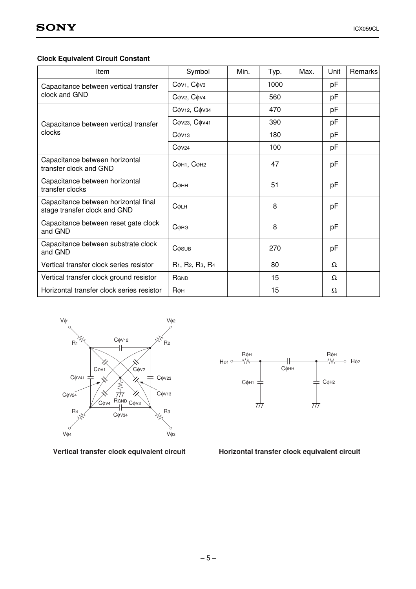# Clock Equivalent Circuit Constant

| Item                                                                 | Symbol                                                            | Min. | Typ. | Max. | Unit     | <b>Remarks</b> |
|----------------------------------------------------------------------|-------------------------------------------------------------------|------|------|------|----------|----------------|
| Capacitance between vertical transfer                                | $C$ $\phi$ V <sub>1</sub> , $C$ $\phi$ V <sub>3</sub>             |      | 1000 |      | рF       |                |
| clock and GND                                                        | Cov <sub>2</sub> , Cov <sub>4</sub>                               |      | 560  |      | рF       |                |
|                                                                      | Сфv12, Сфv34                                                      |      | 470  |      | pF       |                |
| Capacitance between vertical transfer                                | Сфу23, Сфу41                                                      |      | 390  |      | pF       |                |
| clocks                                                               | $C$ $\phi$ V <sub>13</sub>                                        |      | 180  |      | pF       |                |
|                                                                      | $C$ $\phi$ V <sub>24</sub>                                        |      | 100  |      | рF       |                |
| Capacitance between horizontal<br>transfer clock and GND             | Сфн1, Сфн2                                                        |      | 47   |      | рF       |                |
| Capacitance between horizontal<br>transfer clocks                    | Сфнн                                                              |      | 51   |      | pF       |                |
| Capacitance between horizontal final<br>stage transfer clock and GND | Сфин                                                              |      | 8    |      | рF       |                |
| Capacitance between reset gate clock<br>and GND                      | $C$ $\phi$ RG                                                     |      | 8    |      | рF       |                |
| Capacitance between substrate clock<br>and GND                       | <b>C</b> $\phi$ <sub>SUB</sub>                                    |      | 270  |      | pF       |                |
| Vertical transfer clock series resistor                              | R <sub>1</sub> , R <sub>2</sub> , R <sub>3</sub> , R <sub>4</sub> |      | 80   |      | $\Omega$ |                |
| Vertical transfer clock ground resistor                              | RGND                                                              |      | 15   |      | Ω        |                |
| Horizontal transfer clock series resistor                            | Rфн                                                               |      | 15   |      | Ω        |                |





Vertical transfer clock equivalent circuit Horizontal transfer clock equivalent circuit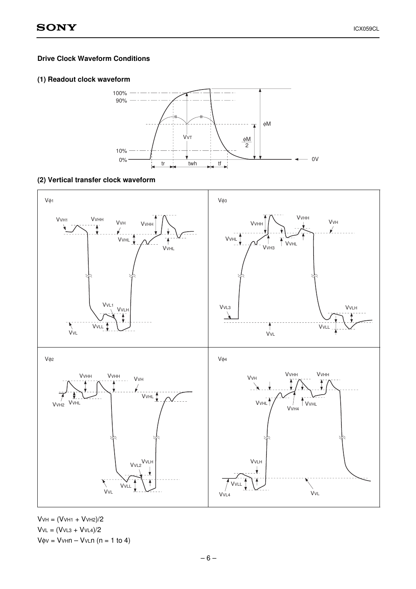#### Drive Clock Waveform Conditions

#### (1) Readout clock waveform



#### (2) Vertical transfer clock waveform



 $V$ VH =  $(V$ VH1 +  $V$ VH2 $)/2$  $VvL = (VvL3 + VvL4)/2$  $V\phi V = VvHn - VvLn (n = 1 to 4)$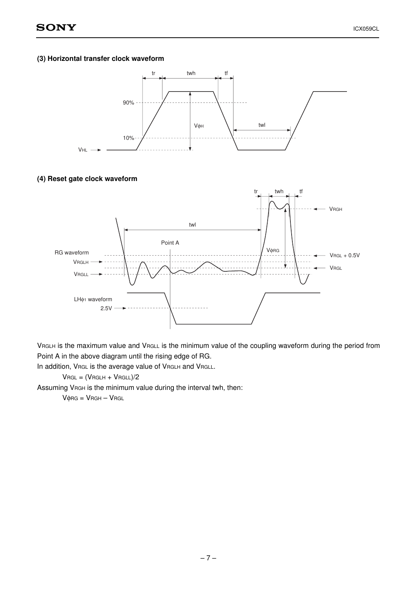#### (3) Horizontal transfer clock waveform



#### (4) Reset gate clock waveform



VRGLH is the maximum value and VRGLL is the minimum value of the coupling waveform during the period from Point A in the above diagram until the rising edge of RG.

In addition, VRGL is the average value of VRGLH and VRGLL.

 $V$ RGL =  $(V$ RGLH +  $V$ RGLL $)/2$ 

Assuming VRGH is the minimum value during the interval twh, then:

 $V$  $\phi$ RG =  $V$ RGH –  $V$ RGL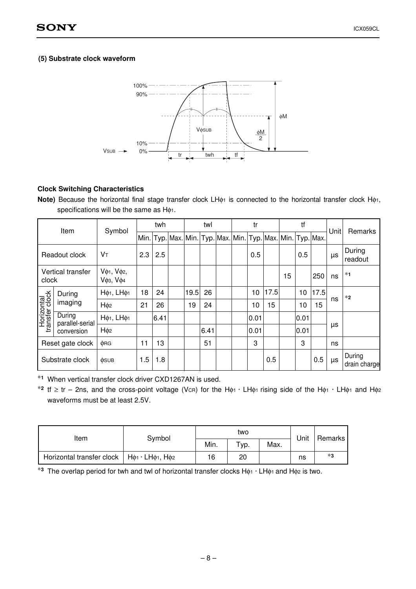#### (5) Substrate clock waveform



#### Clock Switching Characteristics

Note) Because the horizontal final stage transfer clock LHφ1 is connected to the horizontal transfer clock Hφ1, specifications will be the same as Hφ1.

|                              | Item                      | Symbol                |     | twh  |      | twl  |  | tr                                                |      |    | tf   |           | Unit | <b>Remarks</b>         |  |
|------------------------------|---------------------------|-----------------------|-----|------|------|------|--|---------------------------------------------------|------|----|------|-----------|------|------------------------|--|
|                              |                           |                       |     |      |      |      |  | Min. Typ. Max. Min. Typ. Max. Min. Typ. Max. Min. |      |    |      | Typ. Max. |      |                        |  |
|                              | Readout clock             | Vт                    | 2.3 | 2.5  |      |      |  | 0.5                                               |      |    | 0.5  |           | μs   | During<br>readout      |  |
| clock                        | Vertical transfer         | Vφ1, Vφ2,<br>Vфз, Vф4 |     |      |      |      |  |                                                   |      | 15 |      | 250       | ns   | $*1$                   |  |
|                              | During                    | Ηφ1, LHφ1             | 18  | 24   | 19.5 | 26   |  | 10                                                | 17.5 |    | 10   | 17.5      |      | $*2$                   |  |
|                              | imaging                   | H <sub>o2</sub>       | 21  | 26   | 19   | 24   |  | 10                                                | 15   |    | 10   | 15        | ns   |                        |  |
| Horizontal<br>transfer clock | During<br>parallel-serial | Ηφ1, LΗφ1             |     | 6.41 |      |      |  | 0.01                                              |      |    | 0.01 |           |      |                        |  |
|                              | conversion                | H <sub>¢2</sub>       |     |      |      | 6.41 |  | 0.01                                              |      |    | 0.01 |           | μs   |                        |  |
|                              | Reset gate clock          | <b>ORG</b>            | 11  | 13   |      | 51   |  | 3                                                 |      |    | 3    |           | ns   |                        |  |
|                              | Substrate clock           | <b>OSUB</b>           | 1.5 | 1.8  |      |      |  |                                                   | 0.5  |    |      | 0.5       | μs   | During<br>drain charge |  |

∗<sup>1</sup> When vertical transfer clock driver CXD1267AN is used.

∗<sup>2</sup> tf ≥ tr – 2ns, and the cross-point voltage (VCR) for the Hφ1 · LHφ1 rising side of the Hφ<sup>1</sup> · LHφ<sup>1</sup> and Hφ<sup>2</sup> waveforms must be at least 2.5V.

| ltem                                                               | Symbol |      | two |      | Unit | Remarks |  |
|--------------------------------------------------------------------|--------|------|-----|------|------|---------|--|
|                                                                    |        | Min. | VD. | Max. |      |         |  |
| Horizontal transfer clock $ $ H $\phi$ 1 · LH $\phi$ 1, H $\phi$ 2 |        | 16   | 20  |      | ns   | *3      |  |

∗<sup>3</sup> The overlap period for twh and twl of horizontal transfer clocks Hφ<sup>1</sup> · LHφ1 and Hφ<sup>2</sup> is two.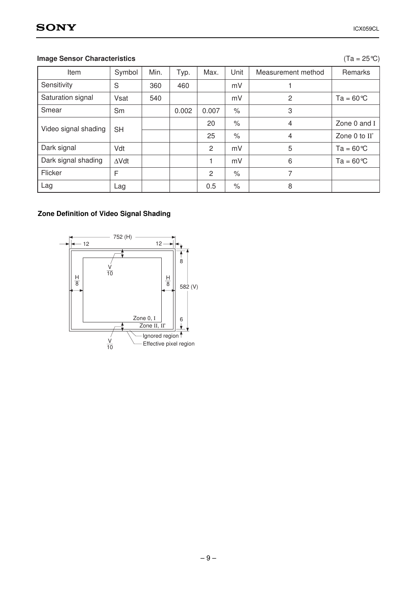# **Image Sensor Characteristics**

| n | °C)<br>ìΕ |
|---|-----------|
|---|-----------|

| Item                 | Symbol       | Min. | Typ.  | Max.  | Unit          | Measurement method | Remarks            |
|----------------------|--------------|------|-------|-------|---------------|--------------------|--------------------|
| Sensitivity          | S            | 360  | 460   |       | mV            |                    |                    |
| Saturation signal    | Vsat         | 540  |       |       | mV            | $\overline{2}$     | $Ta = 60^{\circ}C$ |
| Smear                | Sm           |      | 0.002 | 0.007 | $\%$          | 3                  |                    |
| Video signal shading | <b>SH</b>    |      |       | 20    | $\frac{1}{2}$ | 4                  | Zone 0 and I       |
|                      |              |      |       | 25    | $\%$          | 4                  | Zone 0 to II'      |
| Dark signal          | Vdt          |      |       | 2     | mV            | 5                  | $Ta = 60^{\circ}C$ |
| Dark signal shading  | $\Delta Vdt$ |      |       |       | mV            | 6                  | $Ta = 60^{\circ}C$ |
| Flicker              | F            |      |       | 2     | $\frac{1}{2}$ | 7                  |                    |
| Lag                  | Lag          |      |       | 0.5   | $\%$          | 8                  |                    |

# Zone Definition of Video Signal Shading

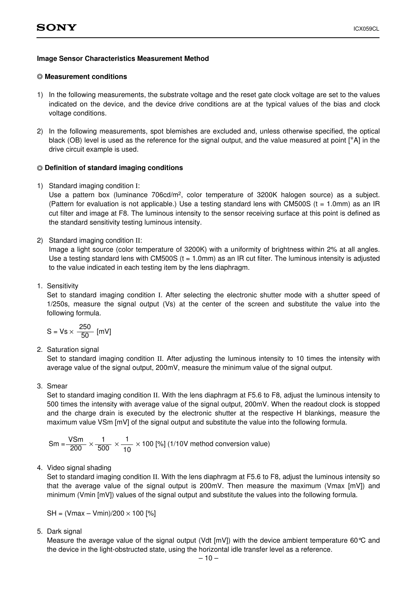#### Image Sensor Characteristics Measurement Method

#### Measurement conditions

- 1) In the following measurements, the substrate voltage and the reset gate clock voltage are set to the values indicated on the device, and the device drive conditions are at the typical values of the bias and clock voltage conditions.
- 2) In the following measurements, spot blemishes are excluded and, unless otherwise specified, the optical black (OB) level is used as the reference for the signal output, and the value measured at point [∗A] in the drive circuit example is used.

#### Definition of standard imaging conditions

1) Standard imaging condition I:

Use a pattern box (luminance 706cd/m<sup>2</sup>, color temperature of 3200K halogen source) as a subject. (Pattern for evaluation is not applicable.) Use a testing standard lens with CM500S ( $t = 1.0$ mm) as an IR cut filter and image at F8. The luminous intensity to the sensor receiving surface at this point is defined as the standard sensitivity testing luminous intensity.

2) Standard imaging condition II:

Image a light source (color temperature of 3200K) with a uniformity of brightness within 2% at all angles. Use a testing standard lens with CM500S ( $t = 1.0$ mm) as an IR cut filter. The luminous intensity is adjusted to the value indicated in each testing item by the lens diaphragm.

1. Sensitivity

Set to standard imaging condition I. After selecting the electronic shutter mode with a shutter speed of 1/250s, measure the signal output (Vs) at the center of the screen and substitute the value into the following formula.

$$
S = Vs \times \frac{250}{50} [mV]
$$

2. Saturation signal

Set to standard imaging condition II. After adjusting the luminous intensity to 10 times the intensity with average value of the signal output, 200mV, measure the minimum value of the signal output.

3. Smear

Set to standard imaging condition II. With the lens diaphragm at F5.6 to F8, adjust the luminous intensity to 500 times the intensity with average value of the signal output, 200mV. When the readout clock is stopped and the charge drain is executed by the electronic shutter at the respective H blankings, measure the maximum value VSm [mV] of the signal output and substitute the value into the following formula.

$$
\text{Sm} = \frac{\text{VSm}}{200} \times \frac{1}{500} \times \frac{1}{10} \times 100 \, [\%] \, (1/10\text{V method conversion value})
$$

4. Video signal shading

Set to standard imaging condition II. With the lens diaphragm at F5.6 to F8, adjust the luminous intensity so that the average value of the signal output is 200mV. Then measure the maximum (Vmax  $[mV]$ ) and minimum (Vmin [mV]) values of the signal output and substitute the values into the following formula.

 $SH = (Vmax - Vmin)/200 \times 100$  [%]

5. Dark signal

Measure the average value of the signal output (Vdt  $[mV]$ ) with the device ambient temperature 60 °C and the device in the light-obstructed state, using the horizontal idle transfer level as a reference.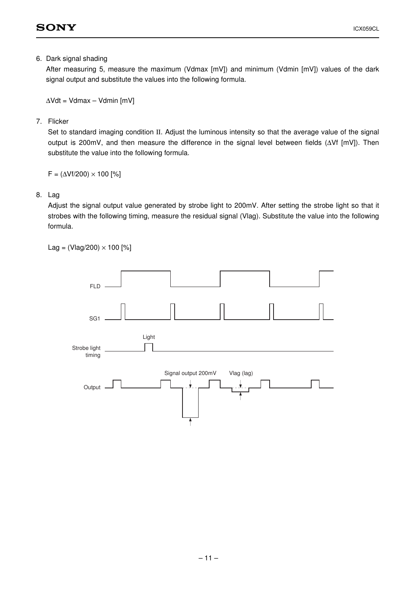6. Dark signal shading

After measuring 5, measure the maximum (Vdmax [mV]) and minimum (Vdmin [mV]) values of the dark signal output and substitute the values into the following formula.

 $\Delta Vdt = Vdmax - Vdmin$  [mV]

7. Flicker

Set to standard imaging condition II. Adjust the luminous intensity so that the average value of the signal output is 200mV, and then measure the difference in the signal level between fields (ΔVf [mV]). Then substitute the value into the following formula.

 $F = (\Delta Vf/200) \times 100$  [%]

#### 8. Lag

Adjust the signal output value generated by strobe light to 200mV. After setting the strobe light so that it strobes with the following timing, measure the residual signal (Vlag). Substitute the value into the following formula.

 $Lag = (Vlag/200) \times 100$  [%]

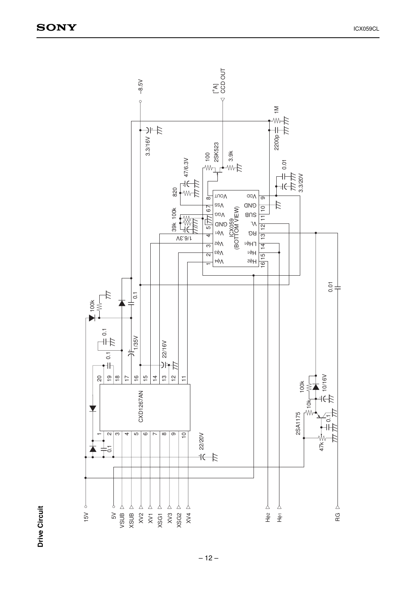

**Drive Circuit** Drive Circuit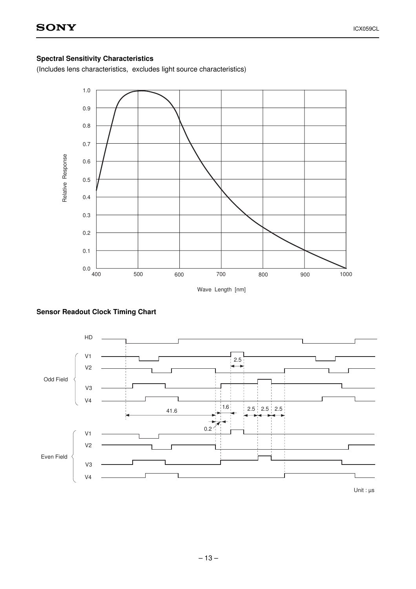## Spectral Sensitivity Characteristics

(Includes lens characteristics, excludes light source characteristics)





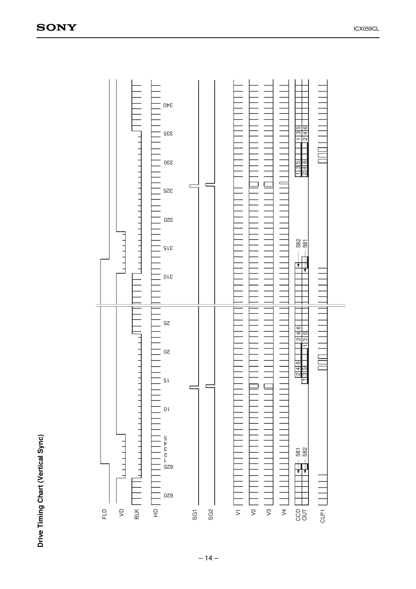

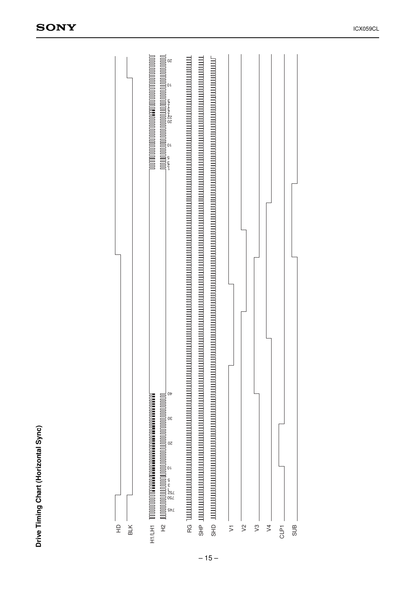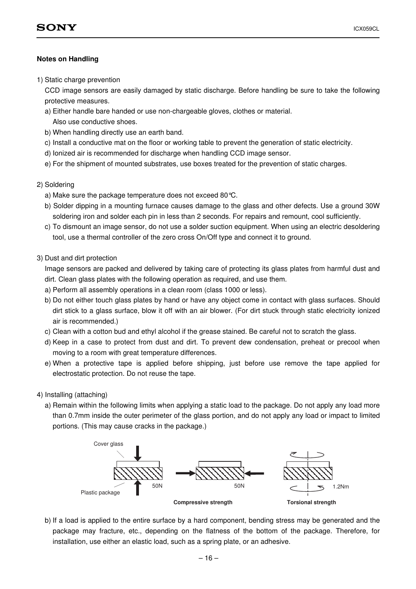#### Notes on Handling

1) Static charge prevention

CCD image sensors are easily damaged by static discharge. Before handling be sure to take the following protective measures.

- a) Either handle bare handed or use non-chargeable gloves, clothes or material.
	- Also use conductive shoes.
- b) When handling directly use an earth band.
- c) Install a conductive mat on the floor or working table to prevent the generation of static electricity.
- d) Ionized air is recommended for discharge when handling CCD image sensor.
- e) For the shipment of mounted substrates, use boxes treated for the prevention of static charges.
- 2) Soldering
	- a) Make sure the package temperature does not exceed 80°C.
	- b) Solder dipping in a mounting furnace causes damage to the glass and other defects. Use a ground 30W soldering iron and solder each pin in less than 2 seconds. For repairs and remount, cool sufficiently.
	- c) To dismount an image sensor, do not use a solder suction equipment. When using an electric desoldering tool, use a thermal controller of the zero cross On/Off type and connect it to ground.
- 3) Dust and dirt protection

Image sensors are packed and delivered by taking care of protecting its glass plates from harmful dust and dirt. Clean glass plates with the following operation as required, and use them.

- a) Perform all assembly operations in a clean room (class 1000 or less).
- b) Do not either touch glass plates by hand or have any object come in contact with glass surfaces. Should dirt stick to a glass surface, blow it off with an air blower. (For dirt stuck through static electricity ionized air is recommended.)
- c) Clean with a cotton bud and ethyl alcohol if the grease stained. Be careful not to scratch the glass.
- d) Keep in a case to protect from dust and dirt. To prevent dew condensation, preheat or precool when moving to a room with great temperature differences.
- e) When a protective tape is applied before shipping, just before use remove the tape applied for electrostatic protection. Do not reuse the tape.
- 4) Installing (attaching)
	- a) Remain within the following limits when applying a static load to the package. Do not apply any load more than 0.7mm inside the outer perimeter of the glass portion, and do not apply any load or impact to limited portions. (This may cause cracks in the package.)



b) If a load is applied to the entire surface by a hard component, bending stress may be generated and the package may fracture, etc., depending on the flatness of the bottom of the package. Therefore, for installation, use either an elastic load, such as a spring plate, or an adhesive.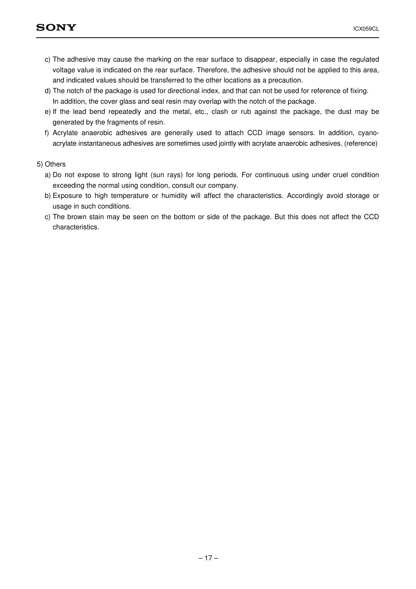- c) The adhesive may cause the marking on the rear surface to disappear, especially in case the regulated voltage value is indicated on the rear surface. Therefore, the adhesive should not be applied to this area, and indicated values should be transferred to the other locations as a precaution.
- d) The notch of the package is used for directional index, and that can not be used for reference of fixing. In addition, the cover glass and seal resin may overlap with the notch of the package.
- e) If the lead bend repeatedly and the metal, etc., clash or rub against the package, the dust may be generated by the fragments of resin.
- f) Acrylate anaerobic adhesives are generally used to attach CCD image sensors. In addition, cyanoacrylate instantaneous adhesives are sometimes used jointly with acrylate anaerobic adhesives. (reference)

#### 5) Others

- a) Do not expose to strong light (sun rays) for long periods. For continuous using under cruel condition exceeding the normal using condition, consult our company.
- b) Exposure to high temperature or humidity will affect the characteristics. Accordingly avoid storage or usage in such conditions.
- c) The brown stain may be seen on the bottom or side of the package. But this does not affect the CCD characteristics.